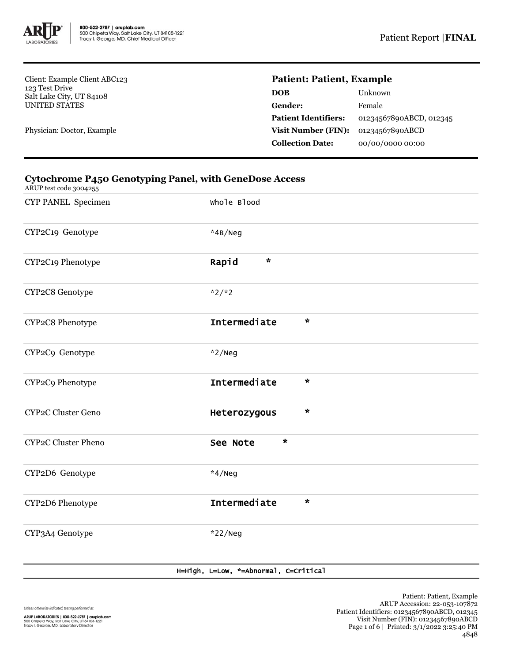

Client: Example Client ABC123 123 Test Drive Salt Lake City, UT 84108 UNITED STATES

Physician: Doctor, Example

# **Patient: Patient, Example**

| 01234567890ABCD, 012345 |
|-------------------------|
|                         |
|                         |
|                         |

## **Cytochrome P450 Genotyping Panel, with GeneDose Access**

ARUP test code 3004255

| CYP PANEL Specimen  | Whole Blood             |
|---------------------|-------------------------|
| CYP2C19 Genotype    | *4B/Neg                 |
| CYP2C19 Phenotype   | $\star$<br>Rapid        |
| CYP2C8 Genotype     | $*2/*2$                 |
| CYP2C8 Phenotype    | Intermediate<br>$\star$ |
| CYP2C9 Genotype     | $*2/$ Neg               |
| CYP2C9 Phenotype    | Intermediate<br>$\star$ |
| CYP2C Cluster Geno  | $\star$<br>Heterozygous |
| CYP2C Cluster Pheno | $\star$<br>See Note     |
| CYP2D6 Genotype     | $*4/Neg$                |
| CYP2D6 Phenotype    | Intermediate<br>$\star$ |
| CYP3A4 Genotype     | $*22/$ Neg              |

### H=High, L=Low, \*=Abnormal, C=Critical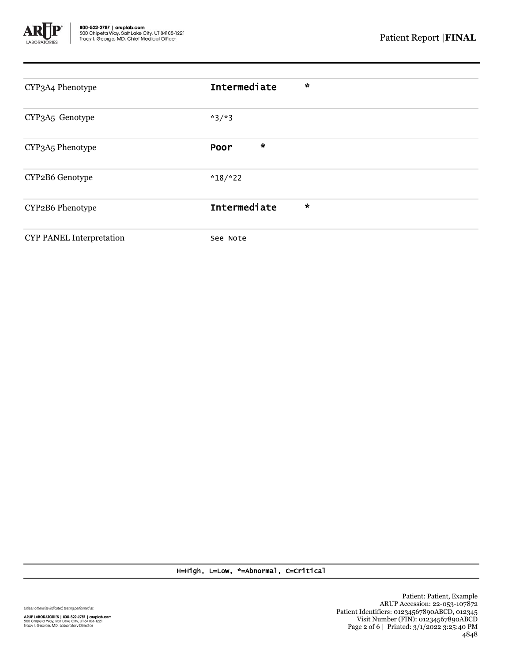

| CYP3A4 Phenotype                | $\star$<br>Intermediate |
|---------------------------------|-------------------------|
| CYP3A5 Genotype                 | $*3/*3$                 |
| CYP3A5 Phenotype                | $\star$<br>Poor         |
| CYP2B6 Genotype                 | $*18/*22$               |
| CYP2B6 Phenotype                | Intermediate<br>$\star$ |
| <b>CYP PANEL Interpretation</b> | See Note                |

H=High, L=Low, \*=Abnormal, C=Critical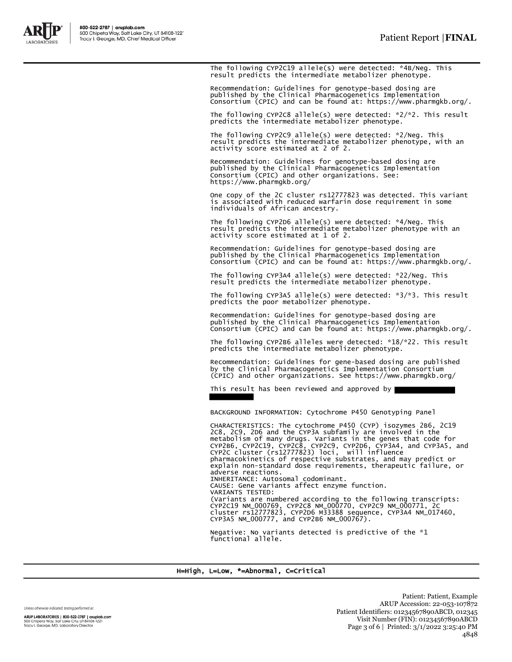

The following CYP2C19 allele(s) were detected: \*4B/Neg. This result predicts the intermediate metabolizer phenotype.

Recommendation: Guidelines for genotype-based dosing are published by the Clinical Pharmacogenetics Implementation Consortium (CPIC) and can be found at: https://www.pharmgkb.org/.

The following CYP2C8 allele(s) were detected: \*2/\*2. This result predicts the intermediate metabolizer phenotype.

The following CYP2C9 allele(s) were detected: \*2/Neg. This result predicts the intermediate metabolizer phenotype, with an activity score estimated at 2 of 2.

Recommendation: Guidelines for genotype-based dosing are published by the Clinical Pharmacogenetics Implementation Consortium (CPIC) and other organizations. See: https://www.pharmgkb.org/

One copy of the 2C cluster rs12777823 was detected. This variant is associated with reduced warfarin dose requirement in some individuals of African ancestry.

The following CYP2D6 allele(s) were detected: \*4/Neg. This result predicts the intermediate metabolizer phenotype with an activity score estimated at 1 of 2.

Recommendation: Guidelines for genotype-based dosing are published by the Clinical Pharmacogenetics Implementation Consortium (CPIC) and can be found at: https://www.pharmgkb.org/.

The following CYP3A4 allele(s) were detected: \*22/Neg. This result predicts the intermediate metabolizer phenotype.

The following CYP3A5 allele(s) were detected: \*3/\*3. This result predicts the poor metabolizer phenotype.

Recommendation: Guidelines for genotype-based dosing are published by the Clinical Pharmacogenetics Implementation Consortium (CPIC) and can be found at: https://www.pharmgkb.org/.

The following CYP2B6 alleles were detected: \*18/\*22. This result predicts the intermediate metabolizer phenotype.

Recommendation: Guidelines for gene-based dosing are published by the Clinical Pharmacogenetics Implementation Consortium (CPIC) and other organizations. See https://www.pharmgkb.org/

This result has been reviewed and approved by

BACKGROUND INFORMATION: Cytochrome P450 Genotyping Panel

CHARACTERISTICS: The cytochrome P450 (CYP) isozymes 2B6, 2C19<br>2C8, 2C9, 2D6 and the CYP3A subfamily are involved in the<br>metabolism of many drugs. Variants in the genes that code for<br>CYP2B6, CYP2C19, CYP2C8, CYP2C9, CYP2D6, pharmacokinetics of respective substrates, and may predict or explain non-standard dose requirements, therapeutic failure, or adverse reactions. INHERITANCE: Autosomal codominant. CAUSE: Gene variants affect enzyme function. VARIANTS TESTED: (Variants are numbered according to the following transcripts: CYP2C19 NM\_000769, CYP2C8 NM\_000770, CYP2C9 NM\_000771, 2C cluster rs12777823, CYP2D6 M33388 sequence, CYP3A4 NM\_017460, CYP3A5 NM\_000777, and CYP2B6 NM\_000767).

Negative: No variants detected is predictive of the \*1 functional allele.

#### H=High, L=Low, \*=Abnormal, C=Critical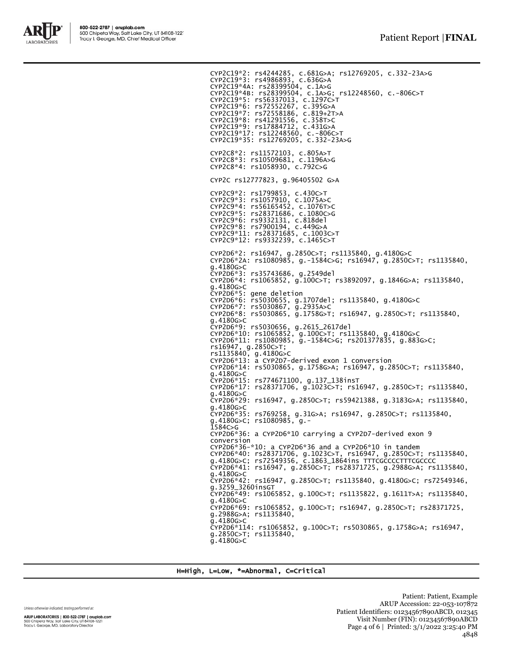

CYP2C19\*2: rs4244285, c.681G>A; rs12769205, c.332-23A>G CYP2C19\*3: rs4986893, c.636G>A CYP2C19\*4A: rs28399504, c.1A>G CYP2C19\*4B: rs28399504, c.1A>G; rs12248560, c.-806C>T CYP2C19\*5: rs56337013, c.1297C>T CYP2C19\*6: rs72552267, c.395G>A CYP2C19\*7: rs72558186, c.819+2T>A CYP2C19\*8: rs41291556, c.358T>C CYP2C19\*9: rs17884712, c.431G>A CYP2C19\*17: rs12248560, c.-806C>T CYP2C19\*35: rs12769205, c.332-23A>G CYP2C8\*2: rs11572103, c.805A>T CYP2C8\*3: rs10509681, c.1196A>G CYP2C8\*4: rs1058930, c.792C>G CYP2C rs12777823, g.96405502 G>A CYP2C9\*2: rs1799853, c.430C>T CYP2C9\*3: rs1057910, c.1075A>C CYP2C9\*4: rs56165452, c.1076T>C CYP2C9\*5: rs28371686, c.1080C>G CYP2C9\*6: rs9332131, c.818del CYP2C9\*8: rs7900194, c.449G>A CYP2C9\*11: rs28371685, c.1003C>T CYP2C9\*12: rs9332239, c.1465C>T CYP2D6\*2: rs16947, g.2850C>T; rs1135840, g.4180G>C CYP2D6\*2A: rs1080985, g.-1584C>G; rs16947, g.2850C>T; rs1135840, g.4180G>C CYP2D6\*3: rs35743686, g.2549del CYP2D6\*4: rs1065852, g.100C>T; rs3892097, g.1846G>A; rs1135840, g.4180G>C CYP2D6\*5: gene deletion CYP2D6\*6: rs5030655, g.1707del; rs1135840, g.4180G>C CYP2D6\*7: rs5030867, g.2935A>C CYP2D6\*8: rs5030865, g.1758G>T; rs16947, g.2850C>T; rs1135840, g.4180G>C CYP2D6\*9: rs5030656, g.2615\_2617del CYP2D6\*10: rs1065852, g.100C>T; rs1135840, g.4180G>C CYP2D6\*11: rs1080985, g.-1584C>G; rs201377835, g.883G>C;<br>rs16947, g.285OC>T;<br>rs1135840, g.4180G>C<br>CYP2D6\*13: a CYP2D7-derived exon 1 conversion<br>CYP2D6\*14: rs5030865, g.1758G>A; rs16947, g.2850C>T; rs1135840, g.4180G>C CYP2D6\*15: rs774671100, g.137\_138insT CYP2D6\*17: rs28371706, g.1023C>T; rs16947, g.2850C>T; rs1135840, g.4180G>C CYP2D6\*29: rs16947, g.2850C>T; rs59421388, g.3183G>A; rs1135840, g.4180G>C CYP2D6\*35: rs769258, g.31G>A; rs16947, g.2850C>T; rs1135840, g.4180G>C; rs1080985, g.- 1584C>G CYP2D6\*36: a CYP2D6\*10 carrying a CYP2D7-derived exon 9 conversion CYP2D6\*36-\*10: a CYP2D6\*36 and a CYP2D6\*10 in tandem CYP2D6\*40: rs28371706, g.1023C>T, rs16947, g.2850C>T; rs1135840, g.4180G>C; rs72549356, c.1863\_1864ins TTTCGCCCCTTTCGCCCC CYP2D6\*41: rs16947, g.2850C>T; rs28371725, g.2988G>A; rs1135840, g.4180G>C rs16947, g.2850C>T; rs1135840, g.4180G>C; rs72549346, exp2D6\*42: rs169<br>g.3259\_3260insGT CYP2D6\*49: rs1065852, g.100C>T; rs1135822, g.1611T>A; rs1135840, g.4180G>C CYP2D6\*69: rs1065852, g.100C>T; rs16947, g.2850C>T; rs28371725, g.2988G>A; rs1135840, g.4180G>C CYP2D6\*114: rs1065852, g.100C>T; rs5030865, g.1758G>A; rs16947, g.2850C>T; rs1135840, g.4180G>C

H=High, L=Low, \*=Abnormal, C=Critical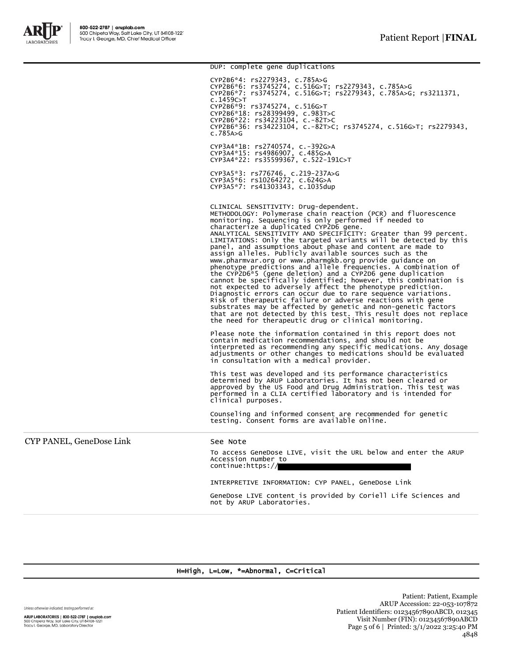

DUP: complete gene duplications CYP2B6\*4: rs2279343, c.785A>G CYP2B6\*6: rs3745274, c.516G>T; rs2279343, c.785A>G CYP2B6\*7: rs3745274, c.516G>T; rs2279343, c.785A>G; rs3211371, c.1459C>T CYP2B6\*9: rs3745274, c.516G>T CYP2B6\*18: rs28399499, c.983T>C CYP2B6\*22: rs34223104, c.-82T>C CYP2B6\*36: rs34223104, c.-82T>C; rs3745274, c.516G>T; rs2279343, c.785A>G CYP3A4\*1B: rs2740574, c.-392G>A CYP3A4\*15: rs4986907, c.485G>A CYP3A4\*22: rs35599367, c.522-191C>T CYP3A5\*3: rs776746, c.219-237A>G CYP3A5\*6: rs10264272, c.624G>A CYP3A5\*7: rs41303343, c.1035dup CLINICAL SENSITIVITY: Drug-dependent. METHODOLOGY: Polymerase chain reaction (PCR) and fluorescence monitoring. Sequencing is only performed if needed to characterize a duplicated CYP2D6 gene. ANALYTICAL SENSITIVITY AND SPECIFICITY: Greater than 99 percent. LIMITATIONS: Only the targeted variants will be detected by this panel, and assumptions about phase and content are made to assign alleles. Publicly available sources such as the www.pharmvar.org or www.pharmgkb.org provide guidance on phenotype predictions and allele frequencies. A combination of the CYP2D6\*5 (gene deletion) and a CYP2D6 gene duplication cannot be specifically identified; however, this combination is not expected to adversely affect the phenotype prediction.<br>Diagnostic errors can occur due to rare sequence variations.<br>Risk of therapeutic failure or adverse reactions with gene<br>substrates may be affected by genetic and n Please note the information contained in this report does not contain medication recommendations, and should not be interpreted as recommending any specific medications. Any dosage adjustments or other changes to medications should be evaluated in consultation with a medical provider. This test was developed and its performance characteristics determined by ARUP Laboratories. It has not been cleared or approved by the US Food and Drug Administration. This test was performed in a CLIA certified laboratory and is intended for clinical purposes. Counseling and informed consent are recommended for genetic testing. Consent forms are available online. CYP PANEL, GeneDose Link See Note To access GeneDose LIVE, visit the URL below and enter the ARUP Accession number to continue:https:// INTERPRETIVE INFORMATION: CYP PANEL, GeneDose Link GeneDose LIVE content is provided by Coriell Life Sciences and not by ARUP Laboratories.

### H=High, L=Low, \*=Abnormal, C=Critical

Unless otherwise indicated, testing performed at:

ARUP LABORATORIES | 800-522-2787 | aruplab.com 500 Chipeta Way, Salt Lake City, UT 84108-1221<br>Tracy I. George, MD, Laboratory Director

Patient: Patient, Example ARUP Accession: 22-053-107872 Patient Identifiers: 01234567890ABCD, 012345 Visit Number (FIN): 01234567890ABCD Page 5 of 6 | Printed: 3/1/2022 3:25:40 PM 4848